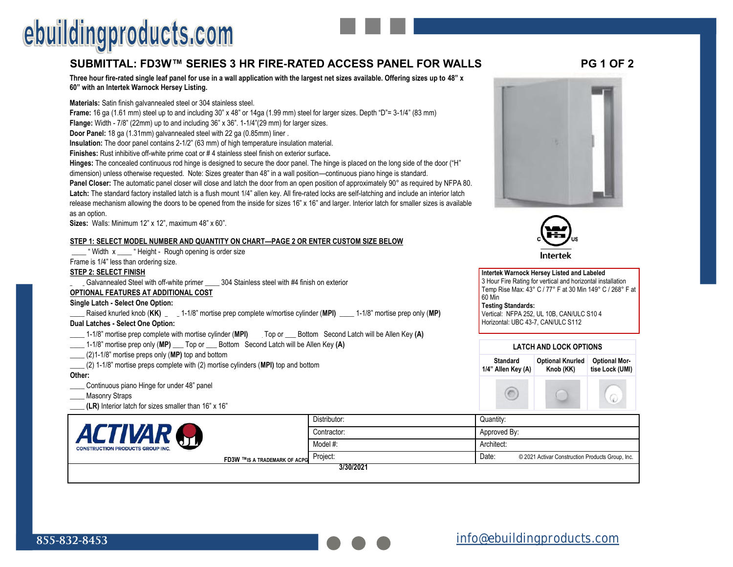# **SUBMITTAL: FD3W™ SERIES 3 HR FIRE-RATED ACCESS PANEL FOR WALL[S PG 1 OF 2](https://ebuildingproducts.com/product/Three_Hour_Recessed_Flange_Fire_Rated_Access_Door)**

**Three hour fire-rated single leaf panel for use in a wall application with the largest net sizes available. Offering sizes up to 48" x 60" with an Intertek Warnock Hersey Listing.** 

**Materials:** Satin finish galvannealed steel or 304 stainless steel.

**Frame:** 16 ga (1.61 mm) steel up to and including 30" x 48" or 14ga (1.99 mm) steel for larger sizes. Depth "D"= 3-1/4" (83 mm) **Flange:** Width - 7/8" (22mm) up to and including 36" x 36". 1-1/4"(29 mm) for larger sizes.

**Door Panel:** 18 ga (1.31mm) galvannealed steel with 22 ga (0.85mm) liner .

**Insulation:** The door panel contains 2-1/2" (63 mm) of high temperature insulation material.

**Finishes:** Rust inhibitive off-white prime coat or # 4 stainless steel finish on exterior surface**.** 

**Hinges:** The concealed continuous rod hinge is designed to secure the door panel. The hinge is placed on the long side of the door ("H" dimension) unless otherwise requested. Note: Sizes greater than 48" in a wall position—continuous piano hinge is standard.

**Panel Closer:** The automatic panel closer will close and latch the door from an open position of approximately 90° as required by NFPA 80. **Latch:** The standard factory installed latch is a flush mount 1/4" allen key. All fire-rated locks are self-latching and include an interior latch release mechanism allowing the doors to be opened from the inside for sizes 16" x 16" and larger. Interior latch for smaller sizes is available as an option.

**Sizes:** Walls: Minimum 12" x 12", maximum 48" x 60".

### **STEP 1: SELECT MODEL NUMBER AND QUANTITY ON CHART—PAGE 2 OR ENTER CUSTOM SIZE BELOW**

| " Width x | . "Height - Rough opening is order size |  |  |
|-----------|-----------------------------------------|--|--|
|-----------|-----------------------------------------|--|--|

Frame is 1/4" less than ordering size.

### **STEP 2: SELECT FINISH**

Galvannealed Steel with off-white primer \_\_\_\_ 304 Stainless steel with #4 finish on exterior

### **OPTIONAL FEATURES AT ADDITIONAL COST**

### **Single Latch - Select One Option:**

**\_\_\_\_** Raised knurled knob (**KK) \_\_\_\_** 1-1/8" mortise prep complete w/mortise cylinder (**MPI)** \_\_\_\_ 1-1/8" mortise prep only (**MP)**

## **Dual Latches - Select One Option:**

- **\_\_\_\_** 1-1/8" mortise prep complete with mortise cylinder (**MPI)** \_\_\_ Top or \_\_\_ Bottom Second Latch will be Allen Key **(A)**
- \_\_\_\_ 1-1/8" mortise prep only (**MP)** \_\_\_ Top or \_\_\_ Bottom Second Latch will be Allen Key **(A)**
- \_\_\_\_ (2)1-1/8" mortise preps only (**MP)** top and bottom
- \_\_\_\_ (2) 1-1/8" mortise preps complete with (2) mortise cylinders (**MPI)** top and bottom

#### **Other:**

- **\_\_\_\_** Continuous piano Hinge for under 48" panel
- Masonry Straps
- **(LR)** Interior latch for sizes smaller than 16" x 16"









Intertek

| שו ו שוישות ושתחים שוויש שבוש ושווישות ושירות |              |                                                           |  |  |
|-----------------------------------------------|--------------|-----------------------------------------------------------|--|--|
| TIVAR<br><b>ON PRODUCTS GROUP INC.</b>        | Distributor: | Quantity:                                                 |  |  |
|                                               | Contractor:  | Approved By:                                              |  |  |
|                                               | Model #:     | Architect:                                                |  |  |
| <b>FD3W ™IS A TRADEMARK OF ACPG</b>           | Project:     | Date:<br>© 2021 Activar Construction Products Group, Inc. |  |  |
|                                               | 3/30/2021    |                                                           |  |  |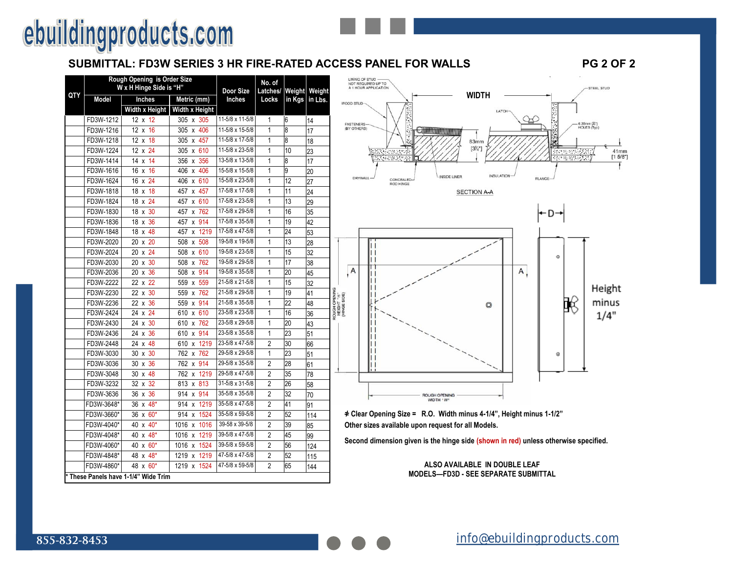# **SUBMITTAL: FD3W SERIES 3 HR FIRE-RATED ACCESS PANEL FOR WALLS PG 2 OF 2**

|     | Rough Opening is Order Size<br>W x H Hinge Side is "H" | Door Size                             | No. of<br>Latches/           | Weight          | Weight         |        |         |                                             |
|-----|--------------------------------------------------------|---------------------------------------|------------------------------|-----------------|----------------|--------|---------|---------------------------------------------|
| QTY | <b>Model</b>                                           | Inches<br>Metric (mm)                 |                              | <b>Inches</b>   | Locks          | in Kgs | in Lbs. | Ŵ                                           |
|     |                                                        | Width x Height                        | Width x Height               |                 |                |        |         |                                             |
|     | FD3W-1212                                              | $12 \times 12$                        | 305 x 305                    | 11-5/8 x 11-5/8 | 1              | 6      | 14      |                                             |
|     | FD3W-1216                                              | 12 x<br>16                            | 305 x 406                    | 11-5/8 x 15-5/8 | $\overline{1}$ | 8      | 17      |                                             |
|     | FD3W-1218                                              | 12x<br>18                             | 305<br>457<br>X              | 11-5/8 x 17-5/8 | 1              | 8      | 18      |                                             |
|     | FD3W-1224                                              | 24<br>$12 \times$                     | 305 x 610                    | 11-5/8 x 23-5/8 | 1              | 10     | 23      |                                             |
|     | FD3W-1414                                              | 14<br>14<br>$\mathsf{x}$              | 356<br>356<br>$\mathsf{x}$   | 13-5/8 x 13-5/8 | 1              | 8      | 17      |                                             |
|     | FD3W-1616                                              | 16<br>16<br>$\mathsf{x}$              | 406<br>406<br>x              | 15-5/8 x 15-5/8 | 1              | 9      | 20      |                                             |
|     | FD3W-1624                                              | 24<br>16<br>X                         | x 610<br>406                 | 15-5/8 x 23-5/8 | 1              | 12     | 27      |                                             |
|     | FD3W-1818                                              | 18<br>18<br>$\boldsymbol{\mathsf{x}}$ | 457<br>457<br>X              | 17-5/8 x 17-5/8 | 1              | 11     | 24      |                                             |
|     | FD3W-1824                                              | 18 x 24                               | x 610<br>457                 | 17-5/8 x 23-5/8 | 1              | 13     | 29      |                                             |
|     | FD3W-1830                                              | 30<br>18<br>$\mathsf{x}$              | 457<br>762<br>X              | 17-5/8 x 29-5/8 | 1              | 16     | 35      |                                             |
|     | FD3W-1836                                              | 36<br>18<br>$\mathsf{x}$              | 914<br>457<br>X              | 17-5/8 x 35-5/8 | 1              | 19     | 42      |                                             |
|     | FD3W-1848                                              | 48<br>18<br>$\mathsf{x}$              | 1219<br>457<br>X             | 17-5/8 x 47-5/8 | 1              | 24     | 53      |                                             |
|     | FD3W-2020                                              | 20<br>20<br>X                         | 508<br>508<br>X              | 19-5/8 x 19-5/8 | 1              | 13     | 28      |                                             |
|     | FD3W-2024                                              | 24<br>20<br>$\mathsf{x}$              | 610<br>508<br>x              | 19-5/8 x 23-5/8 | 1              | 15     | 32      |                                             |
|     | FD3W-2030                                              | 30<br>20<br>x                         | 508<br>762<br>X              | 19-5/8 x 29-5/8 | 1              | 17     | 38      |                                             |
|     | FD3W-2036                                              | 36<br>20<br>$\boldsymbol{\mathsf{x}}$ | 508<br>914<br>X              | 19-5/8 x 35-5/8 | 1              | 20     | 45      |                                             |
|     | FD3W-2222                                              | 22<br>22x                             | 559<br>559<br>X              | 21-5/8 x 21-5/8 | 1              | 15     | 32      |                                             |
|     | FD3W-2230                                              | 30<br>22<br>$\mathsf{x}$              | 762<br>559<br>X              | 21-5/8 x 29-5/8 | 1              | 19     | 41      | ROUGH OPENING<br>HEIGHT 'H'<br>(HINGE SIDE) |
|     | FD3W-2236                                              | 36<br>22 x                            | 914<br>559<br>x              | 21-5/8 x 35-5/8 | 1              | 22     | 48      |                                             |
|     | FD3W-2424                                              | 24 x 24                               | x 610<br>610                 | 23-5/8 x 23-5/8 | 1              | 16     | 36      |                                             |
|     | FD3W-2430                                              | 24<br>30<br>$\mathsf{x}$              | 610<br>762<br>$\mathsf{x}$   | 23-5/8 x 29-5/8 | 1              | 20     | 43      |                                             |
|     | FD3W-2436                                              | 36<br>24 x                            | 914<br>610<br>X              | 23-5/8 x 35-5/8 | 1              | 23     | 51      |                                             |
|     | FD3W-2448                                              | 48<br>24<br>X                         | 1219<br>610<br>X             | 23-5/8 x 47-5/8 | $\overline{2}$ | 30     | 66      |                                             |
|     | FD3W-3030                                              | 30<br>30 x                            | 762<br>762 x                 | 29-5/8 x 29-5/8 | 1              | 23     | 51      |                                             |
|     | FD3W-3036                                              | 36<br>30<br>$\mathsf{x}$              | 762<br>914<br>X              | 29-5/8 x 35-5/8 | $\overline{2}$ | 28     | 61      |                                             |
|     | FD3W-3048                                              | 48<br>30<br>X                         | 1219<br>762<br>X             | 29-5/8 x 47-5/8 | $\overline{2}$ | 35     | 78      |                                             |
|     | FD3W-3232                                              | 32<br>32<br>$\mathsf{x}$              | 813<br>x 813                 | 31-5/8 x 31-5/8 | $\overline{2}$ | 26     | 58      |                                             |
|     | FD3W-3636                                              | 36 x<br>36                            | 914<br>914<br>x              | 35-5/8 x 35-5/8 | $\overline{2}$ | 32     | 70      |                                             |
|     | FD3W-3648*                                             | 36<br>$48*$<br>X                      | 1219<br>914<br>X             | 35-5/8 x 47-5/8 | 2              | 41     | 91      |                                             |
|     | FD3W-3660*                                             | $60*$<br>36<br>x                      | 1524<br>914<br>X             | 35-5/8 x 59-5/8 | $\overline{2}$ | 52     | 114     |                                             |
|     | FD3W-4040*                                             | 40<br>$40*$<br>$\mathsf{x}$           | 1016<br>1016<br>$\mathsf{x}$ | 39-58 x 39-5/8  | 2              | 39     | 85      |                                             |
|     | FD3W-4048*                                             | $48*$<br>40<br>X                      | 1219<br>1016<br>X            | 39-5/8 x 47-5/8 | 2              | 45     | 99      |                                             |
|     | FD3W-4060*                                             | $60*$<br>40<br>x                      | 1524<br>1016<br>$\mathsf{x}$ | 39-5/8 x 59-5/8 | 2              | 56     | 124     |                                             |
|     | FD3W-4848*                                             | 48<br>$x 48*$                         | 1219<br>1219<br>X            | 47-5/8 x 47-5/8 | 2              | 52     | 115     |                                             |
|     | FD3W-4860*                                             | 48 x 60*                              | 1524<br>1219<br>X            | 47-5/8 x 59-5/8 | $\overline{2}$ | 65     | 144     |                                             |
|     |                                                        | * These Panels have 1-1/4" Wide Trim  |                              |                 |                |        |         |                                             |





**Second dimension given is the hinge side (shown in red) unless otherwise specified.**

#### **ALSO AVAILABLE IN DOUBLE LEAF MODELS—FD3D - SEE SEPARATE SUBMITTAL**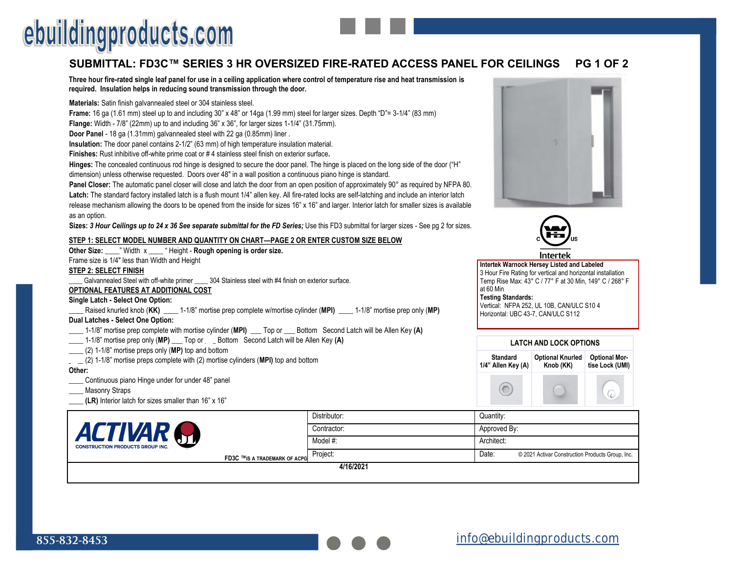# **SUBMITTAL: FD3C™ SERIES 3 HR OVERSIZED FIRE-RATED ACCESS PANEL FOR CEILINGS PG 1 OF 2**

**Three hour fire-rated single leaf panel for use in a ceiling application where control of temperature rise and heat transmission is required. Insulation helps in reducing sound transmission through the door.**

**Materials:** Satin finish galvannealed steel or 304 stainless steel.

**Frame:** 16 ga (1.61 mm) steel up to and including 30" x 48" or 14ga (1.99 mm) steel for larger sizes. Depth "D"= 3-1/4" (83 mm)

**Flange:** Width - 7/8" (22mm) up to and including 36" x 36", for larger sizes 1-1/4" (31.75mm).

**Door Panel** - 18 ga (1.31mm) galvannealed steel with 22 ga (0.85mm) liner .

**Insulation:** The door panel contains 2-1/2" (63 mm) of high temperature insulation material.

**Finishes:** Rust inhibitive off-white prime coat or # 4 stainless steel finish on exterior surface**.** 

**Hinges:** The concealed continuous rod hinge is designed to secure the door panel. The hinge is placed on the long side of the door ("H" dimension) unless otherwise requested. Doors over 48" in a wall position a continuous piano hinge is standard.

**Panel Closer:** The automatic panel closer will close and latch the door from an open position of approximately 90° as required by NFPA 80. **Latch:** The standard factory installed latch is a flush mount 1/4" allen key. All fire-rated locks are self-latching and include an interior latch release mechanism allowing the doors to be opened from the inside for sizes 16" x 16" and larger. Interior latch for smaller sizes is available as an option.

**Sizes:** *3 Hour Ceilings up to 24 x 36 See separate submittal for the FD Series;* Use this FD3 submittal for larger sizes - See pg 2 for sizes.

#### **STEP 1: SELECT MODEL NUMBER AND QUANTITY ON CHART—PAGE 2 OR ENTER CUSTOM SIZE BELOW**

| Other Size: _____" Width x _____ " Height - Rough opening is order size.                                                   |
|----------------------------------------------------------------------------------------------------------------------------|
| Frame size is 1/4" less than Width and Height                                                                              |
| STEP 2: SELECT FINISH                                                                                                      |
| Galvannealed Steel with off-white primer ______ 304 Stainless steel with #4 finish on exterior surface.                    |
| <b>OPTIONAL FEATURES AT ADDITIONAL COST</b>                                                                                |
| Single Latch - Select One Option:                                                                                          |
| Raised knurled knob (KK) ______ 1-1/8" mortise prep complete w/mortise cylinder (MPI) ______ 1-1/8" mortise prep only (MP) |
| Dual Latches - Select One Option:                                                                                          |
| 1-1/8" mortise prep complete with mortise cylinder (MPI) ___ Top or ___ Bottom Second Latch will be Allen Key (A)          |
| 1-1/8" mortise prep only (MP) ___ Top or ___ Bottom Second Latch will be Allen Key (A)                                     |
| $(2)$ 1-1/8" mortise preps only (MP) top and bottom                                                                        |
| $(2)$ 1-1/8" mortise preps complete with (2) mortise cylinders (MPI) top and bottom                                        |
| Other:                                                                                                                     |
| Continuous piano Hingo under for under 48" nanol                                                                           |



- Masonry Straps
- **(LR)** Interior latch for sizes smaller than 16" x 16"





Intertel

**Intertek Warnock Hersey Listed and Labeled**  3 Hour Fire Rating for vertical and horizontal installation Temp Rise Max: 43° C / 77° F at 30 Min, 149° C / 268° F at 60 Min **Testing Standards:**  Vertical: NFPA 252, UL 10B, CAN/ULC S10 4 Horizontal: UBC 43-7, CAN/ULC S112

| <b>LATCH AND LOCK OPTIONS</b>         |                                      |                                         |  |  |
|---------------------------------------|--------------------------------------|-----------------------------------------|--|--|
| <b>Standard</b><br>1/4" Allen Key (A) | <b>Optional Knurled</b><br>Knob (KK) | <b>Optional Mor-</b><br>tise Lock (UMI) |  |  |
|                                       |                                      |                                         |  |  |

 $\mathbb{Q}$